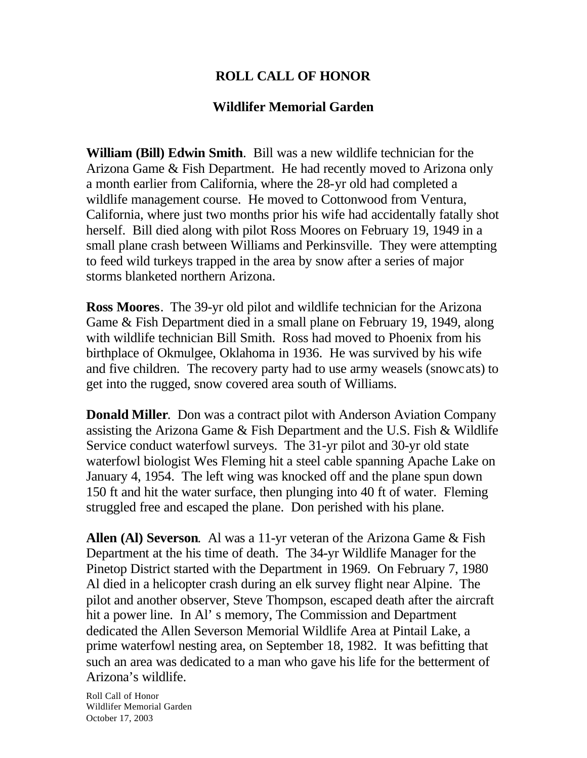## **ROLL CALL OF HONOR**

## **Wildlifer Memorial Garden**

**William (Bill) Edwin Smith**. Bill was a new wildlife technician for the Arizona Game & Fish Department. He had recently moved to Arizona only a month earlier from California, where the 28-yr old had completed a wildlife management course. He moved to Cottonwood from Ventura, California, where just two months prior his wife had accidentally fatally shot herself. Bill died along with pilot Ross Moores on February 19, 1949 in a small plane crash between Williams and Perkinsville. They were attempting to feed wild turkeys trapped in the area by snow after a series of major storms blanketed northern Arizona.

**Ross Moores**. The 39-yr old pilot and wildlife technician for the Arizona Game & Fish Department died in a small plane on February 19, 1949, along with wildlife technician Bill Smith. Ross had moved to Phoenix from his birthplace of Okmulgee, Oklahoma in 1936. He was survived by his wife and five children. The recovery party had to use army weasels (snowcats) to get into the rugged, snow covered area south of Williams.

**Donald Miller**. Don was a contract pilot with Anderson Aviation Company assisting the Arizona Game & Fish Department and the U.S. Fish & Wildlife Service conduct waterfowl surveys. The 31-yr pilot and 30-yr old state waterfowl biologist Wes Fleming hit a steel cable spanning Apache Lake on January 4, 1954. The left wing was knocked off and the plane spun down 150 ft and hit the water surface, then plunging into 40 ft of water. Fleming struggled free and escaped the plane. Don perished with his plane.

**Allen (Al) Severson**. Al was a 11-yr veteran of the Arizona Game & Fish Department at the his time of death. The 34-yr Wildlife Manager for the Pinetop District started with the Department in 1969. On February 7, 1980 Al died in a helicopter crash during an elk survey flight near Alpine. The pilot and another observer, Steve Thompson, escaped death after the aircraft hit a power line. In Al' s memory, The Commission and Department dedicated the Allen Severson Memorial Wildlife Area at Pintail Lake, a prime waterfowl nesting area, on September 18, 1982. It was befitting that such an area was dedicated to a man who gave his life for the betterment of Arizona's wildlife.

Roll Call of Honor Wildlifer Memorial Garden October 17, 2003